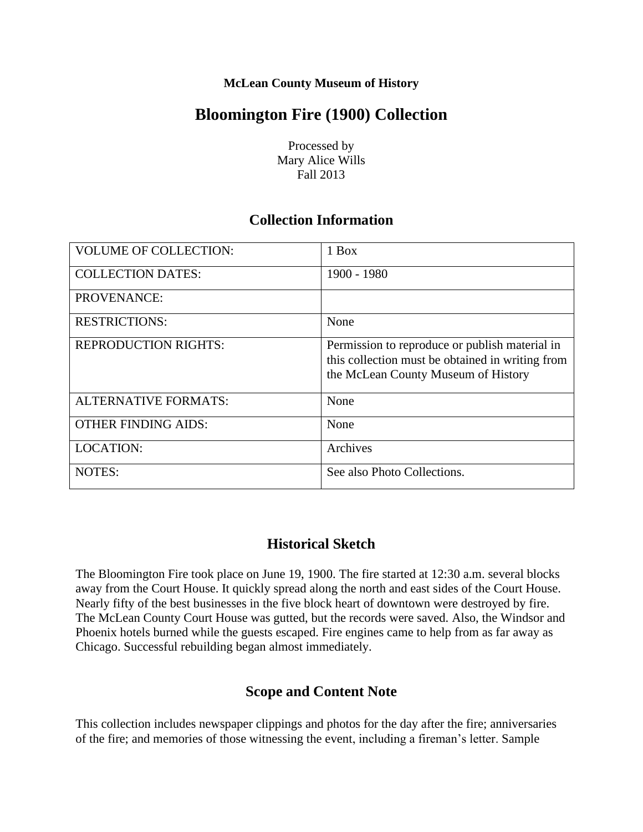#### **McLean County Museum of History**

# **Bloomington Fire (1900) Collection**

Processed by Mary Alice Wills Fall 2013

## **Collection Information**

| <b>VOLUME OF COLLECTION:</b> | 1 Box                                                                                                                                     |
|------------------------------|-------------------------------------------------------------------------------------------------------------------------------------------|
| <b>COLLECTION DATES:</b>     | 1900 - 1980                                                                                                                               |
| PROVENANCE:                  |                                                                                                                                           |
| <b>RESTRICTIONS:</b>         | None                                                                                                                                      |
| <b>REPRODUCTION RIGHTS:</b>  | Permission to reproduce or publish material in<br>this collection must be obtained in writing from<br>the McLean County Museum of History |
| <b>ALTERNATIVE FORMATS:</b>  | None                                                                                                                                      |
| <b>OTHER FINDING AIDS:</b>   | None                                                                                                                                      |
| <b>LOCATION:</b>             | Archives                                                                                                                                  |
| <b>NOTES:</b>                | See also Photo Collections.                                                                                                               |

## **Historical Sketch**

The Bloomington Fire took place on June 19, 1900. The fire started at 12:30 a.m. several blocks away from the Court House. It quickly spread along the north and east sides of the Court House. Nearly fifty of the best businesses in the five block heart of downtown were destroyed by fire. The McLean County Court House was gutted, but the records were saved. Also, the Windsor and Phoenix hotels burned while the guests escaped. Fire engines came to help from as far away as Chicago. Successful rebuilding began almost immediately.

# **Scope and Content Note**

This collection includes newspaper clippings and photos for the day after the fire; anniversaries of the fire; and memories of those witnessing the event, including a fireman's letter. Sample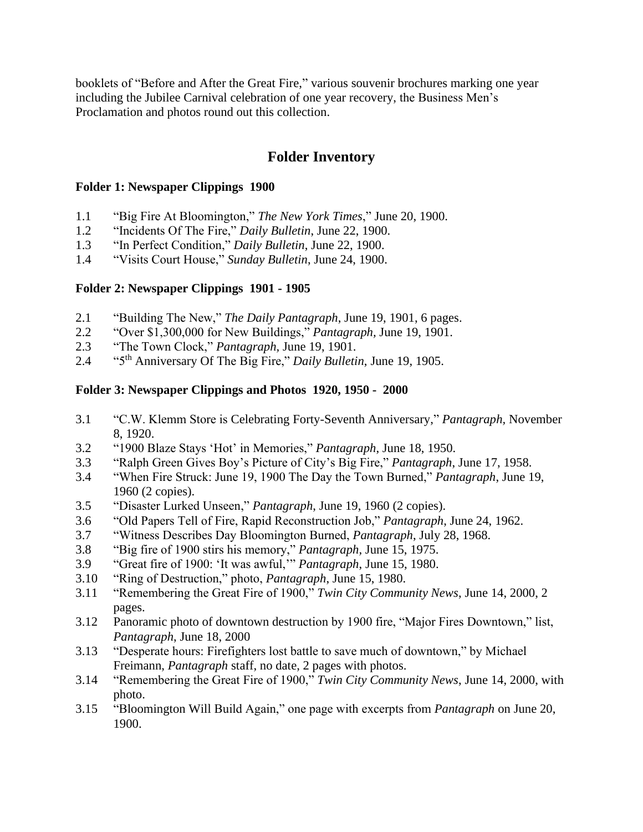booklets of "Before and After the Great Fire," various souvenir brochures marking one year including the Jubilee Carnival celebration of one year recovery, the Business Men's Proclamation and photos round out this collection.

# **Folder Inventory**

#### **Folder 1: Newspaper Clippings 1900**

- 1.1 "Big Fire At Bloomington," *The New York Times*," June 20, 1900.
- 1.2 "Incidents Of The Fire," *Daily Bulletin*, June 22, 1900.
- 1.3 "In Perfect Condition," *Daily Bulletin*, June 22, 1900.
- 1.4 "Visits Court House," *Sunday Bulletin*, June 24, 1900.

#### **Folder 2: Newspaper Clippings 1901 - 1905**

- 2.1 "Building The New," *The Daily Pantagraph*, June 19, 1901, 6 pages.
- 2.2 "Over \$1,300,000 for New Buildings," *Pantagraph,* June 19, 1901.
- 2.3 "The Town Clock," *Pantagraph,* June 19, 1901.
- 2.4 "5th Anniversary Of The Big Fire," *Daily Bulletin*, June 19, 1905.

#### **Folder 3: Newspaper Clippings and Photos 1920, 1950 - 2000**

- 3.1 "C.W. Klemm Store is Celebrating Forty-Seventh Anniversary," *Pantagraph,* November 8, 1920.
- 3.2 "1900 Blaze Stays 'Hot' in Memories," *Pantagraph*, June 18, 1950.
- 3.3 "Ralph Green Gives Boy's Picture of City's Big Fire," *Pantagraph*, June 17, 1958.
- 3.4 "When Fire Struck: June 19, 1900 The Day the Town Burned," *Pantagraph*, June 19, 1960 (2 copies).
- 3.5 "Disaster Lurked Unseen," *Pantagraph*, June 19, 1960 (2 copies).
- 3.6 "Old Papers Tell of Fire, Rapid Reconstruction Job," *Pantagraph*, June 24, 1962.
- 3.7 "Witness Describes Day Bloomington Burned, *Pantagraph*, July 28, 1968.
- 3.8 "Big fire of 1900 stirs his memory," *Pantagraph,* June 15, 1975.
- 3.9 "Great fire of 1900: 'It was awful,'" *Pantagraph*, June 15, 1980.
- 3.10 "Ring of Destruction," photo, *Pantagraph*, June 15, 1980.
- 3.11 "Remembering the Great Fire of 1900," *Twin City Community News*, June 14, 2000, 2 pages.
- 3.12 Panoramic photo of downtown destruction by 1900 fire, "Major Fires Downtown," list, *Pantagraph*, June 18, 2000
- 3.13 "Desperate hours: Firefighters lost battle to save much of downtown," by Michael Freimann, *Pantagraph* staff, no date, 2 pages with photos.
- 3.14 "Remembering the Great Fire of 1900," *Twin City Community News*, June 14, 2000, with photo.
- 3.15 "Bloomington Will Build Again," one page with excerpts from *Pantagraph* on June 20, 1900.